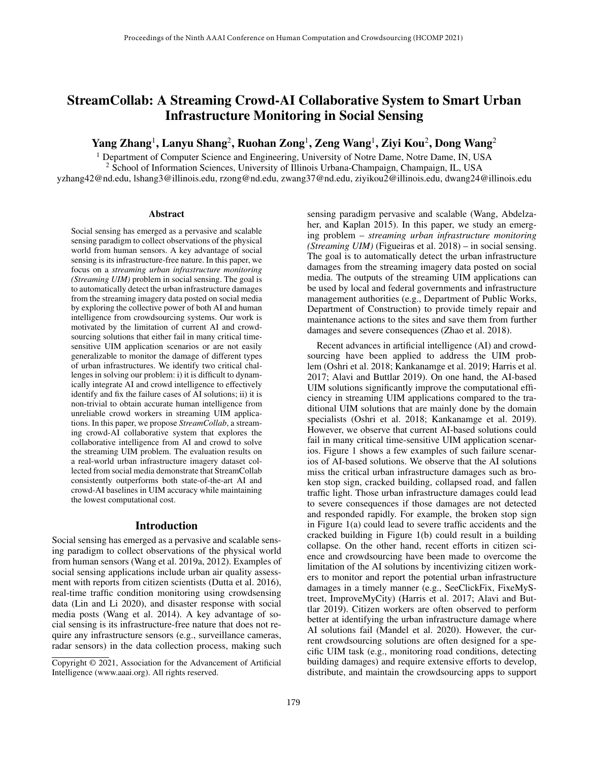# StreamCollab: A Streaming Crowd-AI Collaborative System to Smart Urban Infrastructure Monitoring in Social Sensing

Yang Zhang $^1$ , Lanyu Shang $^2$ , Ruohan Zong $^1$ , Zeng Wang $^1$ , Ziyi Kou $^2$ , Dong Wang $^2$ 

 $<sup>1</sup>$  Department of Computer Science and Engineering, University of Notre Dame, Notre Dame, IN, USA</sup>

<sup>2</sup> School of Information Sciences, University of Illinois Urbana-Champaign, Champaign, IL, USA yzhang42@nd.edu, lshang3@illinois.edu, rzong@nd.edu, zwang37@nd.edu, ziyikou2@illinois.edu, dwang24@illinois.edu

#### Abstract

Social sensing has emerged as a pervasive and scalable sensing paradigm to collect observations of the physical world from human sensors. A key advantage of social sensing is its infrastructure-free nature. In this paper, we focus on a *streaming urban infrastructure monitoring (Streaming UIM)* problem in social sensing. The goal is to automatically detect the urban infrastructure damages from the streaming imagery data posted on social media by exploring the collective power of both AI and human intelligence from crowdsourcing systems. Our work is motivated by the limitation of current AI and crowdsourcing solutions that either fail in many critical timesensitive UIM application scenarios or are not easily generalizable to monitor the damage of different types of urban infrastructures. We identify two critical challenges in solving our problem: i) it is difficult to dynamically integrate AI and crowd intelligence to effectively identify and fix the failure cases of AI solutions; ii) it is non-trivial to obtain accurate human intelligence from unreliable crowd workers in streaming UIM applications. In this paper, we propose *StreamCollab*, a streaming crowd-AI collaborative system that explores the collaborative intelligence from AI and crowd to solve the streaming UIM problem. The evaluation results on a real-world urban infrastructure imagery dataset collected from social media demonstrate that StreamCollab consistently outperforms both state-of-the-art AI and crowd-AI baselines in UIM accuracy while maintaining the lowest computational cost.

#### Introduction

Social sensing has emerged as a pervasive and scalable sensing paradigm to collect observations of the physical world from human sensors (Wang et al. 2019a, 2012). Examples of social sensing applications include urban air quality assessment with reports from citizen scientists (Dutta et al. 2016), real-time traffic condition monitoring using crowdsensing data (Lin and Li 2020), and disaster response with social media posts (Wang et al. 2014). A key advantage of social sensing is its infrastructure-free nature that does not require any infrastructure sensors (e.g., surveillance cameras, radar sensors) in the data collection process, making such sensing paradigm pervasive and scalable (Wang, Abdelzaher, and Kaplan 2015). In this paper, we study an emerging problem – *streaming urban infrastructure monitoring (Streaming UIM)* (Figueiras et al. 2018) – in social sensing. The goal is to automatically detect the urban infrastructure damages from the streaming imagery data posted on social media. The outputs of the streaming UIM applications can be used by local and federal governments and infrastructure management authorities (e.g., Department of Public Works, Department of Construction) to provide timely repair and maintenance actions to the sites and save them from further damages and severe consequences (Zhao et al. 2018).

Recent advances in artificial intelligence (AI) and crowdsourcing have been applied to address the UIM problem (Oshri et al. 2018; Kankanamge et al. 2019; Harris et al. 2017; Alavi and Buttlar 2019). On one hand, the AI-based UIM solutions significantly improve the computational efficiency in streaming UIM applications compared to the traditional UIM solutions that are mainly done by the domain specialists (Oshri et al. 2018; Kankanamge et al. 2019). However, we observe that current AI-based solutions could fail in many critical time-sensitive UIM application scenarios. Figure 1 shows a few examples of such failure scenarios of AI-based solutions. We observe that the AI solutions miss the critical urban infrastructure damages such as broken stop sign, cracked building, collapsed road, and fallen traffic light. Those urban infrastructure damages could lead to severe consequences if those damages are not detected and responded rapidly. For example, the broken stop sign in Figure 1(a) could lead to severe traffic accidents and the cracked building in Figure 1(b) could result in a building collapse. On the other hand, recent efforts in citizen science and crowdsourcing have been made to overcome the limitation of the AI solutions by incentivizing citizen workers to monitor and report the potential urban infrastructure damages in a timely manner (e.g., SeeClickFix, FixeMyStreet, ImproveMyCity) (Harris et al. 2017; Alavi and Buttlar 2019). Citizen workers are often observed to perform better at identifying the urban infrastructure damage where AI solutions fail (Mandel et al. 2020). However, the current crowdsourcing solutions are often designed for a specific UIM task (e.g., monitoring road conditions, detecting building damages) and require extensive efforts to develop, distribute, and maintain the crowdsourcing apps to support

Copyright © 2021, Association for the Advancement of Artificial Intelligence (www.aaai.org). All rights reserved.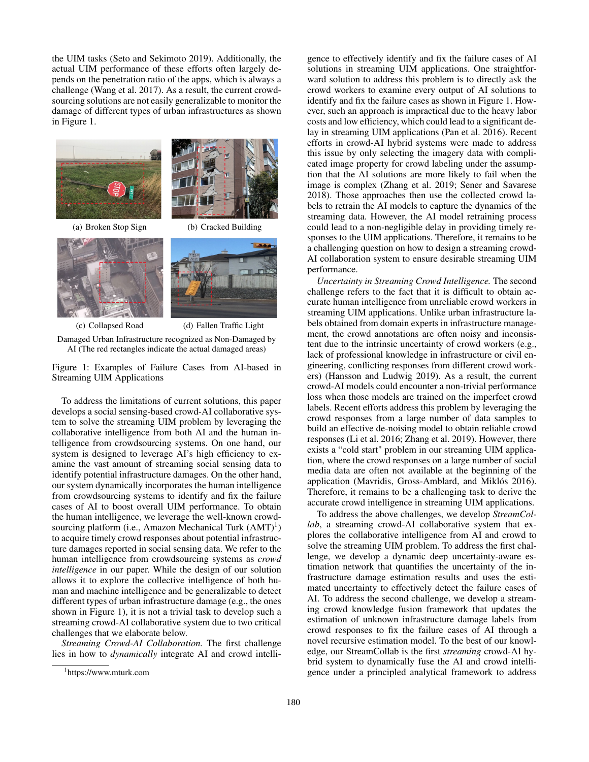the UIM tasks (Seto and Sekimoto 2019). Additionally, the actual UIM performance of these efforts often largely depends on the penetration ratio of the apps, which is always a challenge (Wang et al. 2017). As a result, the current crowdsourcing solutions are not easily generalizable to monitor the damage of different types of urban infrastructures as shown in Figure 1.







(c) Collapsed Road (d) Fallen Traffic Light

Damaged Urban Infrastructure recognized as Non-Damaged by AI (The red rectangles indicate the actual damaged areas)

Figure 1: Examples of Failure Cases from AI-based in Streaming UIM Applications

To address the limitations of current solutions, this paper develops a social sensing-based crowd-AI collaborative system to solve the streaming UIM problem by leveraging the collaborative intelligence from both AI and the human intelligence from crowdsourcing systems. On one hand, our system is designed to leverage AI's high efficiency to examine the vast amount of streaming social sensing data to identify potential infrastructure damages. On the other hand, our system dynamically incorporates the human intelligence from crowdsourcing systems to identify and fix the failure cases of AI to boost overall UIM performance. To obtain the human intelligence, we leverage the well-known crowdsourcing platform (i.e., Amazon Mechanical Turk (AMT)<sup>1</sup>) to acquire timely crowd responses about potential infrastructure damages reported in social sensing data. We refer to the human intelligence from crowdsourcing systems as *crowd intelligence* in our paper. While the design of our solution allows it to explore the collective intelligence of both human and machine intelligence and be generalizable to detect different types of urban infrastructure damage (e.g., the ones shown in Figure 1), it is not a trivial task to develop such a streaming crowd-AI collaborative system due to two critical challenges that we elaborate below.

*Streaming Crowd-AI Collaboration.* The first challenge lies in how to *dynamically* integrate AI and crowd intelli-

gence to effectively identify and fix the failure cases of AI solutions in streaming UIM applications. One straightforward solution to address this problem is to directly ask the crowd workers to examine every output of AI solutions to identify and fix the failure cases as shown in Figure 1. However, such an approach is impractical due to the heavy labor costs and low efficiency, which could lead to a significant delay in streaming UIM applications (Pan et al. 2016). Recent efforts in crowd-AI hybrid systems were made to address this issue by only selecting the imagery data with complicated image property for crowd labeling under the assumption that the AI solutions are more likely to fail when the image is complex (Zhang et al. 2019; Sener and Savarese 2018). Those approaches then use the collected crowd labels to retrain the AI models to capture the dynamics of the streaming data. However, the AI model retraining process could lead to a non-negligible delay in providing timely responses to the UIM applications. Therefore, it remains to be a challenging question on how to design a streaming crowd-AI collaboration system to ensure desirable streaming UIM performance.

*Uncertainty in Streaming Crowd Intelligence.* The second challenge refers to the fact that it is difficult to obtain accurate human intelligence from unreliable crowd workers in streaming UIM applications. Unlike urban infrastructure labels obtained from domain experts in infrastructure management, the crowd annotations are often noisy and inconsistent due to the intrinsic uncertainty of crowd workers (e.g., lack of professional knowledge in infrastructure or civil engineering, conflicting responses from different crowd workers) (Hansson and Ludwig 2019). As a result, the current crowd-AI models could encounter a non-trivial performance loss when those models are trained on the imperfect crowd labels. Recent efforts address this problem by leveraging the crowd responses from a large number of data samples to build an effective de-noising model to obtain reliable crowd responses (Li et al. 2016; Zhang et al. 2019). However, there exists a "cold start" problem in our streaming UIM application, where the crowd responses on a large number of social media data are often not available at the beginning of the application (Mavridis, Gross-Amblard, and Miklós 2016). Therefore, it remains to be a challenging task to derive the accurate crowd intelligence in streaming UIM applications.

To address the above challenges, we develop *StreamCollab*, a streaming crowd-AI collaborative system that explores the collaborative intelligence from AI and crowd to solve the streaming UIM problem. To address the first challenge, we develop a dynamic deep uncertainty-aware estimation network that quantifies the uncertainty of the infrastructure damage estimation results and uses the estimated uncertainty to effectively detect the failure cases of AI. To address the second challenge, we develop a streaming crowd knowledge fusion framework that updates the estimation of unknown infrastructure damage labels from crowd responses to fix the failure cases of AI through a novel recursive estimation model. To the best of our knowledge, our StreamCollab is the first *streaming* crowd-AI hybrid system to dynamically fuse the AI and crowd intelligence under a principled analytical framework to address

<sup>1</sup> https://www.mturk.com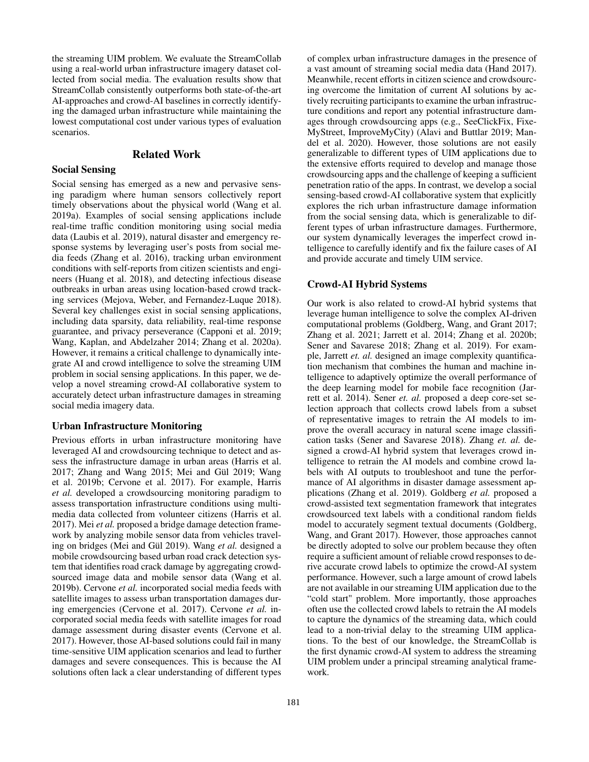the streaming UIM problem. We evaluate the StreamCollab using a real-world urban infrastructure imagery dataset collected from social media. The evaluation results show that StreamCollab consistently outperforms both state-of-the-art AI-approaches and crowd-AI baselines in correctly identifying the damaged urban infrastructure while maintaining the lowest computational cost under various types of evaluation scenarios.

## Related Work

#### Social Sensing

Social sensing has emerged as a new and pervasive sensing paradigm where human sensors collectively report timely observations about the physical world (Wang et al. 2019a). Examples of social sensing applications include real-time traffic condition monitoring using social media data (Laubis et al. 2019), natural disaster and emergency response systems by leveraging user's posts from social media feeds (Zhang et al. 2016), tracking urban environment conditions with self-reports from citizen scientists and engineers (Huang et al. 2018), and detecting infectious disease outbreaks in urban areas using location-based crowd tracking services (Mejova, Weber, and Fernandez-Luque 2018). Several key challenges exist in social sensing applications, including data sparsity, data reliability, real-time response guarantee, and privacy perseverance (Capponi et al. 2019; Wang, Kaplan, and Abdelzaher 2014; Zhang et al. 2020a). However, it remains a critical challenge to dynamically integrate AI and crowd intelligence to solve the streaming UIM problem in social sensing applications. In this paper, we develop a novel streaming crowd-AI collaborative system to accurately detect urban infrastructure damages in streaming social media imagery data.

#### Urban Infrastructure Monitoring

Previous efforts in urban infrastructure monitoring have leveraged AI and crowdsourcing technique to detect and assess the infrastructure damage in urban areas (Harris et al. 2017; Zhang and Wang 2015; Mei and Gül 2019; Wang et al. 2019b; Cervone et al. 2017). For example, Harris *et al.* developed a crowdsourcing monitoring paradigm to assess transportation infrastructure conditions using multimedia data collected from volunteer citizens (Harris et al. 2017). Mei *et al.* proposed a bridge damage detection framework by analyzing mobile sensor data from vehicles traveling on bridges (Mei and Gül 2019). Wang *et al.* designed a mobile crowdsourcing based urban road crack detection system that identifies road crack damage by aggregating crowdsourced image data and mobile sensor data (Wang et al. 2019b). Cervone *et al.* incorporated social media feeds with satellite images to assess urban transportation damages during emergencies (Cervone et al. 2017). Cervone *et al.* incorporated social media feeds with satellite images for road damage assessment during disaster events (Cervone et al. 2017). However, those AI-based solutions could fail in many time-sensitive UIM application scenarios and lead to further damages and severe consequences. This is because the AI solutions often lack a clear understanding of different types

of complex urban infrastructure damages in the presence of a vast amount of streaming social media data (Hand 2017). Meanwhile, recent efforts in citizen science and crowdsourcing overcome the limitation of current AI solutions by actively recruiting participants to examine the urban infrastructure conditions and report any potential infrastructure damages through crowdsourcing apps (e.g., SeeClickFix, Fixe-MyStreet, ImproveMyCity) (Alavi and Buttlar 2019; Mandel et al. 2020). However, those solutions are not easily generalizable to different types of UIM applications due to the extensive efforts required to develop and manage those crowdsourcing apps and the challenge of keeping a sufficient penetration ratio of the apps. In contrast, we develop a social sensing-based crowd-AI collaborative system that explicitly explores the rich urban infrastructure damage information from the social sensing data, which is generalizable to different types of urban infrastructure damages. Furthermore, our system dynamically leverages the imperfect crowd intelligence to carefully identify and fix the failure cases of AI and provide accurate and timely UIM service.

### Crowd-AI Hybrid Systems

Our work is also related to crowd-AI hybrid systems that leverage human intelligence to solve the complex AI-driven computational problems (Goldberg, Wang, and Grant 2017; Zhang et al. 2021; Jarrett et al. 2014; Zhang et al. 2020b; Sener and Savarese 2018; Zhang et al. 2019). For example, Jarrett *et. al.* designed an image complexity quantification mechanism that combines the human and machine intelligence to adaptively optimize the overall performance of the deep learning model for mobile face recognition (Jarrett et al. 2014). Sener *et. al.* proposed a deep core-set selection approach that collects crowd labels from a subset of representative images to retrain the AI models to improve the overall accuracy in natural scene image classification tasks (Sener and Savarese 2018). Zhang *et. al.* designed a crowd-AI hybrid system that leverages crowd intelligence to retrain the AI models and combine crowd labels with AI outputs to troubleshoot and tune the performance of AI algorithms in disaster damage assessment applications (Zhang et al. 2019). Goldberg *et al.* proposed a crowd-assisted text segmentation framework that integrates crowdsourced text labels with a conditional random fields model to accurately segment textual documents (Goldberg, Wang, and Grant 2017). However, those approaches cannot be directly adopted to solve our problem because they often require a sufficient amount of reliable crowd responses to derive accurate crowd labels to optimize the crowd-AI system performance. However, such a large amount of crowd labels are not available in our streaming UIM application due to the "cold start" problem. More importantly, those approaches often use the collected crowd labels to retrain the AI models to capture the dynamics of the streaming data, which could lead to a non-trivial delay to the streaming UIM applications. To the best of our knowledge, the StreamCollab is the first dynamic crowd-AI system to address the streaming UIM problem under a principal streaming analytical framework.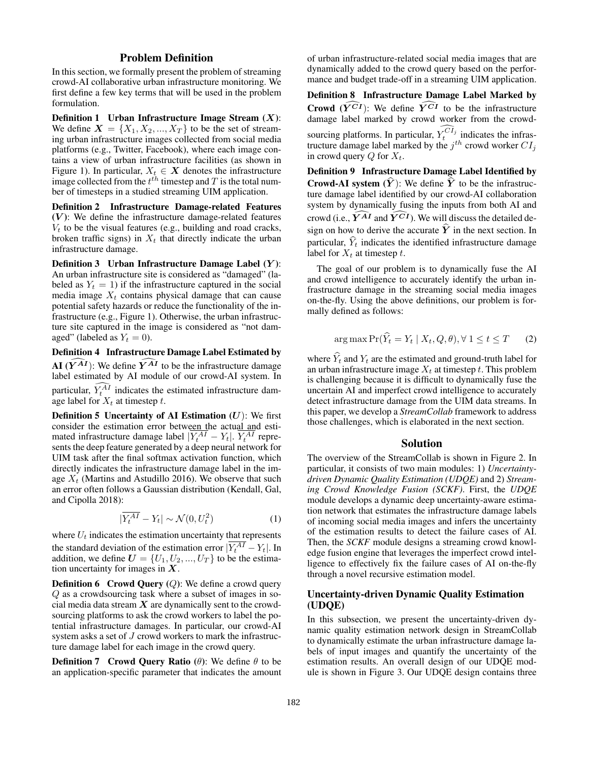# Problem Definition

In this section, we formally present the problem of streaming crowd-AI collaborative urban infrastructure monitoring. We first define a few key terms that will be used in the problem formulation.

**Definition 1** Urban Infrastructure Image Stream  $(X)$ : We define  $X = \{X_1, X_2, ..., X_T\}$  to be the set of streaming urban infrastructure images collected from social media platforms (e.g., Twitter, Facebook), where each image contains a view of urban infrastructure facilities (as shown in Figure 1). In particular,  $X_t \in \mathbf{X}$  denotes the infrastructure image collected from the  $t^{th}$  timestep and  $T$  is the total number of timesteps in a studied streaming UIM application.

Definition 2 Infrastructure Damage-related Features  $(V)$ : We define the infrastructure damage-related features  $V_t$  to be the visual features (e.g., building and road cracks, broken traffic signs) in  $X_t$  that directly indicate the urban infrastructure damage.

Definition 3 Urban Infrastructure Damage Label  $(Y)$ : An urban infrastructure site is considered as "damaged" (labeled as  $Y_t = 1$ ) if the infrastructure captured in the social media image  $X_t$  contains physical damage that can cause potential safety hazards or reduce the functionality of the infrastructure (e.g., Figure 1). Otherwise, the urban infrastructure site captured in the image is considered as "not damaged" (labeled as  $Y_t = 0$ ).

Definition 4 Infrastructure Damage Label Estimated by  $AI (Y^{AI})$ : We define  $Y^{AI}$  to be the infrastructure damage label estimated by AI module of our crowd-AI system. In particular,  $Y_t^{AI}$  indicates the estimated infrastructure damage label for  $X_t$  at timestep t.

**Definition 5 Uncertainty of AI Estimation (U):** We first consider the estimation error between the actual and estimated infrastructure damage label  $|Y_t^{AI} - Y_t|$ .  $Y_t^{AI}$  represents the deep feature generated by a deep neural network for UIM task after the final softmax activation function, which directly indicates the infrastructure damage label in the image  $X_t$  (Martins and Astudillo 2016). We observe that such an error often follows a Gaussian distribution (Kendall, Gal, and Cipolla 2018):

$$
|\overline{Y_t^{AI}} - Y_t| \sim \mathcal{N}(0, U_t^2)
$$
 (1)

where  $U_t$  indicates the estimation uncertainty that represents the standard deviation of the estimation error  $|Y_t^{AI} - Y_t|$ . In addition, we define  $U = \{U_1, U_2, ..., U_T\}$  to be the estimation uncertainty for images in  $X$ .

**Definition 6** Crowd Query  $(Q)$ : We define a crowd query Q as a crowdsourcing task where a subset of images in social media data stream  $X$  are dynamically sent to the crowdsourcing platforms to ask the crowd workers to label the potential infrastructure damages. In particular, our crowd-AI system asks a set of J crowd workers to mark the infrastructure damage label for each image in the crowd query.

**Definition 7** Crowd Query Ratio  $(\theta)$ : We define  $\theta$  to be an application-specific parameter that indicates the amount

of urban infrastructure-related social media images that are dynamically added to the crowd query based on the performance and budget trade-off in a streaming UIM application.

Definition 8 Infrastructure Damage Label Marked by Crowd  $(\widehat{Y}^{\widehat{CI}})$ : We define  $\widehat{Y}^{\widehat{CI}}$  to be the infrastructure damage label marked by crowd worker from the crowdsourcing platforms. In particular,  $Y_t^{CI_j}$  indicates the infrastructure damage label marked by the  $j^{th}$  crowd worker  $CI_j$ in crowd query  $Q$  for  $X_t$ .

Definition 9 Infrastructure Damage Label Identified by **Crowd-AI system**  $(\hat{Y})$ : We define  $\hat{Y}$  to be the infrastructure damage label identified by our crowd-AI collaboration system by dynamically fusing the inputs from both AI and crowd (i.e.,  $\widehat{Y^{AI}}$  and  $\widehat{Y^{CI}}$ ). We will discuss the detailed design on how to derive the accurate  $\hat{Y}$  in the next section. In particular,  $\hat{Y}_t$  indicates the identified infrastructure damage label for  $X_t$  at timestep t.

The goal of our problem is to dynamically fuse the AI and crowd intelligence to accurately identify the urban infrastructure damage in the streaming social media images on-the-fly. Using the above definitions, our problem is formally defined as follows:

$$
\arg \max \Pr(\widehat{Y}_t = Y_t \mid X_t, Q, \theta), \forall 1 \le t \le T \qquad (2)
$$

where  $\hat{Y}_t$  and  $Y_t$  are the estimated and ground-truth label for an urban infrastructure image  $X_t$  at timestep t. This problem is challenging because it is difficult to dynamically fuse the uncertain AI and imperfect crowd intelligence to accurately detect infrastructure damage from the UIM data streams. In this paper, we develop a *StreamCollab* framework to address those challenges, which is elaborated in the next section.

### Solution

The overview of the StreamCollab is shown in Figure 2. In particular, it consists of two main modules: 1) *Uncertaintydriven Dynamic Quality Estimation (UDQE)* and 2) *Streaming Crowd Knowledge Fusion (SCKF)*. First, the *UDQE* module develops a dynamic deep uncertainty-aware estimation network that estimates the infrastructure damage labels of incoming social media images and infers the uncertainty of the estimation results to detect the failure cases of AI. Then, the *SCKF* module designs a streaming crowd knowledge fusion engine that leverages the imperfect crowd intelligence to effectively fix the failure cases of AI on-the-fly through a novel recursive estimation model.

# Uncertainty-driven Dynamic Quality Estimation (UDQE)

In this subsection, we present the uncertainty-driven dynamic quality estimation network design in StreamCollab to dynamically estimate the urban infrastructure damage labels of input images and quantify the uncertainty of the estimation results. An overall design of our UDQE module is shown in Figure 3. Our UDQE design contains three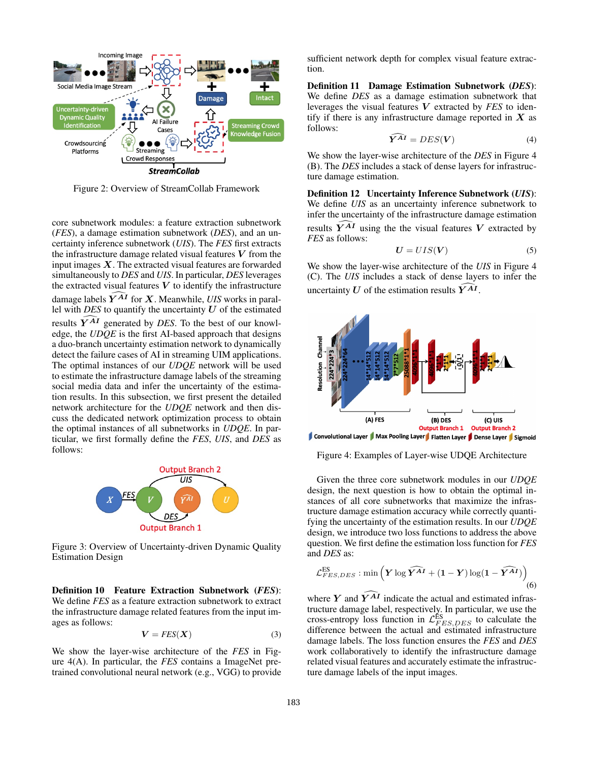

Figure 2: Overview of StreamCollab Framework

core subnetwork modules: a feature extraction subnetwork (*FES*), a damage estimation subnetwork (*DES*), and an uncertainty inference subnetwork (*UIS*). The *FES* first extracts the infrastructure damage related visual features  $V$  from the input images  $X$ . The extracted visual features are forwarded simultaneously to *DES* and *UIS*. In particular, *DES* leverages the extracted visual features  $V$  to identify the infrastructure damage labels  $\widehat{Y^{AI}}$  for X. Meanwhile, *UIS* works in parallel with *DES* to quantify the uncertainty  $U$  of the estimated results  $\tilde{Y}^{A\tilde{I}}$  generated by *DES*. To the best of our knowledge, the *UDQE* is the first AI-based approach that designs a duo-branch uncertainty estimation network to dynamically detect the failure cases of AI in streaming UIM applications. The optimal instances of our *UDQE* network will be used to estimate the infrastructure damage labels of the streaming social media data and infer the uncertainty of the estimation results. In this subsection, we first present the detailed network architecture for the *UDQE* network and then discuss the dedicated network optimization process to obtain the optimal instances of all subnetworks in *UDQE*. In particular, we first formally define the *FES*, *UIS*, and *DES* as follows:



Figure 3: Overview of Uncertainty-driven Dynamic Quality Estimation Design

Definition 10 Feature Extraction Subnetwork (*FES*): We define *FES* as a feature extraction subnetwork to extract the infrastructure damage related features from the input images as follows:

$$
V = FES(X) \tag{3}
$$

We show the layer-wise architecture of the *FES* in Figure 4(A). In particular, the *FES* contains a ImageNet pretrained convolutional neural network (e.g., VGG) to provide sufficient network depth for complex visual feature extraction.

Definition 11 Damage Estimation Subnetwork (*DES*): We define *DES* as a damage estimation subnetwork that leverages the visual features V extracted by *FES* to identify if there is any infrastructure damage reported in  $X$  as follows:

$$
\boldsymbol{Y}^{AI} = DES(\boldsymbol{V})\tag{4}
$$

We show the layer-wise architecture of the *DES* in Figure 4 (B). The *DES* includes a stack of dense layers for infrastructure damage estimation.

Definition 12 Uncertainty Inference Subnetwork (*UIS*): We define *UIS* as an uncertainty inference subnetwork to infer the uncertainty of the infrastructure damage estimation results  $\widehat{Y}^{A I}$  using the the visual features V extracted by *FES* as follows:

$$
U = UIS(V) \tag{5}
$$

We show the layer-wise architecture of the *UIS* in Figure 4 (C). The *UIS* includes a stack of dense layers to infer the uncertainty U of the estimation results  $\overline{Y^{AI}}$ .



Convolutional Layer | Max Pooling Layer | Flatten Layer | Dense Layer | Sigmoid

Figure 4: Examples of Layer-wise UDQE Architecture

Given the three core subnetwork modules in our *UDQE* design, the next question is how to obtain the optimal instances of all core subnetworks that maximize the infrastructure damage estimation accuracy while correctly quantifying the uncertainty of the estimation results. In our *UDQE* design, we introduce two loss functions to address the above question. We first define the estimation loss function for *FES* and *DES* as:

$$
\mathcal{L}_{FES,DES}^{ES} : \min\left(\boldsymbol{Y}\log\widehat{\boldsymbol{Y}^{AI}} + (1-\boldsymbol{Y})\log(1-\widehat{\boldsymbol{Y}^{AI}})\right) \tag{6}
$$

where Y and  $\overline{Y^{AI}}$  indicate the actual and estimated infrastructure damage label, respectively. In particular, we use the cross-entropy loss function in  $\mathcal{L}^{ES}_{FES, DES}$  to calculate the difference between the actual and estimated infrastructure damage labels. The loss function ensures the *FES* and *DES* work collaboratively to identify the infrastructure damage related visual features and accurately estimate the infrastructure damage labels of the input images.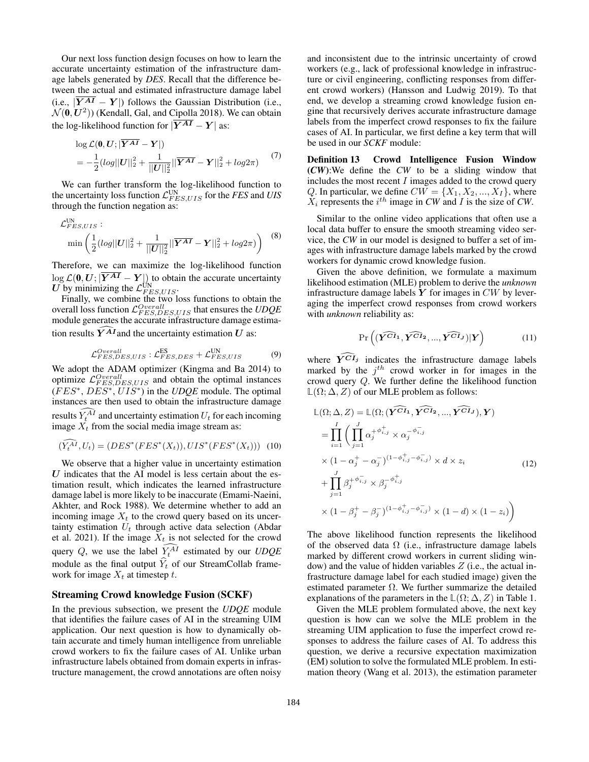Our next loss function design focuses on how to learn the accurate uncertainty estimation of the infrastructure damage labels generated by *DES*. Recall that the difference between the actual and estimated infrastructure damage label (i.e.,  $|\overline{Y^{AI}} - Y|$ ) follows the Gaussian Distribution (i.e.,  $\mathcal{N}(\mathbf{0},\mathbf{U}^2)$ ) (Kendall, Gal, and Cipolla 2018). We can obtain the log-likelihood function for  $|\overline{Y^{AI}} - Y|$  as:

$$
\log \mathcal{L}(\mathbf{0}, \mathbf{U}; |\overline{\mathbf{Y}^{AI}} - \mathbf{Y}|)
$$
  
= 
$$
-\frac{1}{2} (log||\mathbf{U}||_2^2 + \frac{1}{||\mathbf{U}||_2^2} ||\overline{\mathbf{Y}^{AI}} - \mathbf{Y}||_2^2 + log2\pi)
$$
 (7)

We can further transform the log-likelihood function to the uncertainty loss function  $\mathcal{L}^{\text{UN}}_{FES, UIS}$  for the *FES* and *UIS* through the function negation as:

$$
\mathcal{L}_{FES,UIS}^{\text{UN}}: \n\min\left(\frac{1}{2}(log||\boldsymbol{U}||_2^2 + \frac{1}{||\boldsymbol{U}||_2^2}||\boldsymbol{Y}^{\boldsymbol{AI}} - \boldsymbol{Y}||_2^2 + log2\pi)\right)
$$
\n(8)

Therefore, we can maximize the log-likelihood function  $\log \mathcal{L}(\mathbf{0}, \mathbf{U}; |\mathbf{Y}^{AI} - \mathbf{Y}|)$  to obtain the accurate uncertainty  $U$  by minimizing the  $\mathcal{L}_{FES,UIS}^{\text{UN}}$ .

Finally, we combine the two loss functions to obtain the overall loss function  $\mathcal{L}_{FES, DES, UIS}^{Overall}$  that ensures the  $UDQE$ module generates the accurate infrastructure damage estimation results  $\widehat{Y}^{AI}$  and the uncertainty estimation U as:

$$
\mathcal{L}_{FES,DES,UIS}^{Overall}: \mathcal{L}_{FES,DES}^{ES} + \mathcal{L}_{FES,UIS}^{UN} \tag{9}
$$

We adopt the ADAM optimizer (Kingma and Ba 2014) to optimize  $\mathcal{L}_{FES,DES,UIS}^{Overall}$  and obtain the optimal instances  $(FES^*, DES^*, UIS^*)$  in the *UDQE* module. The optimal instances are then used to obtain the infrastructure damage results  $Y_t^{AI}$  and uncertainty estimation  $U_t$  for each incoming image  $X_t$  from the social media image stream as:

$$
(\widehat{Y_t^{AI}}, U_t) = (DES^*(FES^*(X_t)), UIS^*(FES^*(X_t))) \quad (10)
$$

We observe that a higher value in uncertainty estimation  $U$  indicates that the AI model is less certain about the estimation result, which indicates the learned infrastructure damage label is more likely to be inaccurate (Emami-Naeini, Akhter, and Rock 1988). We determine whether to add an incoming image  $X_t$  to the crowd query based on its uncertainty estimation  $U_t$  through active data selection (Abdar et al. 2021). If the image  $X_t$  is not selected for the crowd query  $Q$ , we use the label  $Y_t^{AI}$  estimated by our *UDQE* module as the final output  $\hat{Y}_t$  of our StreamCollab framework for image  $X_t$  at timestep t.

# Streaming Crowd knowledge Fusion (SCKF)

In the previous subsection, we present the *UDQE* module that identifies the failure cases of AI in the streaming UIM application. Our next question is how to dynamically obtain accurate and timely human intelligence from unreliable crowd workers to fix the failure cases of AI. Unlike urban infrastructure labels obtained from domain experts in infrastructure management, the crowd annotations are often noisy and inconsistent due to the intrinsic uncertainty of crowd workers (e.g., lack of professional knowledge in infrastructure or civil engineering, conflicting responses from different crowd workers) (Hansson and Ludwig 2019). To that end, we develop a streaming crowd knowledge fusion engine that recursively derives accurate infrastructure damage labels from the imperfect crowd responses to fix the failure cases of AI. In particular, we first define a key term that will be used in our *SCKF* module:

Definition 13 Crowd Intelligence Fusion Window (*CW*):We define the *CW* to be a sliding window that includes the most recent  $I$  images added to the crowd query Q. In particular, we define  $CW = \{X_1, X_2, ..., X_I\}$ , where  $X_i$  represents the  $i^{th}$  image in *CW* and *I* is the size of *CW*.

Similar to the online video applications that often use a local data buffer to ensure the smooth streaming video service, the *CW* in our model is designed to buffer a set of images with infrastructure damage labels marked by the crowd workers for dynamic crowd knowledge fusion.

Given the above definition, we formulate a maximum likelihood estimation (MLE) problem to derive the *unknown* infrastructure damage labels  $Y$  for images in  $CW$  by leveraging the imperfect crowd responses from crowd workers with *unknown* reliability as:

$$
\Pr\left( (\widehat{\boldsymbol{Y}^{CI_1}}, \widehat{\boldsymbol{Y}^{CI_2}}, ..., \widehat{\boldsymbol{Y}^{CI_J}}) | \boldsymbol{Y} \right) \tag{11}
$$

where  $\overline{Y}^{CI_j}$  indicates the infrastructure damage labels marked by the  $j<sup>th</sup>$  crowd worker in for images in the crowd query  $Q$ . We further define the likelihood function  $\mathbb{L}(\Omega; \Delta, Z)$  of our MLE problem as follows:

$$
\mathbb{L}(\Omega; \Delta, Z) = \mathbb{L}(\Omega; (\tilde{Y^{CI_1}}, \tilde{Y^{CI_2}}, ..., \tilde{Y^{CI_J}}), Y)
$$
\n
$$
= \prod_{i=1}^{I} \left( \prod_{j=1}^{J} \alpha_j^{+ \phi_{i,j}^+} \times \alpha_j^{- \phi_{i,j}^-}
$$
\n
$$
\times (1 - \alpha_j^+ - \alpha_j^-)^{(1 - \phi_{i,j}^+ - \phi_{i,j}^-)} \times d \times z_i
$$
\n
$$
+ \prod_{j=1}^{J} \beta_j^{+ \phi_{i,j}^-} \times \beta_j^{- \phi_{i,j}^+}
$$
\n
$$
\times (1 - \beta_j^+ - \beta_j^-)^{(1 - \phi_{i,j}^+ - \phi_{i,j}^-)} \times (1 - d) \times (1 - z_i)
$$

The above likelihood function represents the likelihood of the observed data  $\Omega$  (i.e., infrastructure damage labels marked by different crowd workers in current sliding window) and the value of hidden variables  $Z$  (i.e., the actual infrastructure damage label for each studied image) given the estimated parameter  $\Omega$ . We further summarize the detailed explanations of the parameters in the  $\mathbb{L}(\Omega; \Delta, Z)$  in Table 1.

Given the MLE problem formulated above, the next key question is how can we solve the MLE problem in the streaming UIM application to fuse the imperfect crowd responses to address the failure cases of AI. To address this question, we derive a recursive expectation maximization (EM) solution to solve the formulated MLE problem. In estimation theory (Wang et al. 2013), the estimation parameter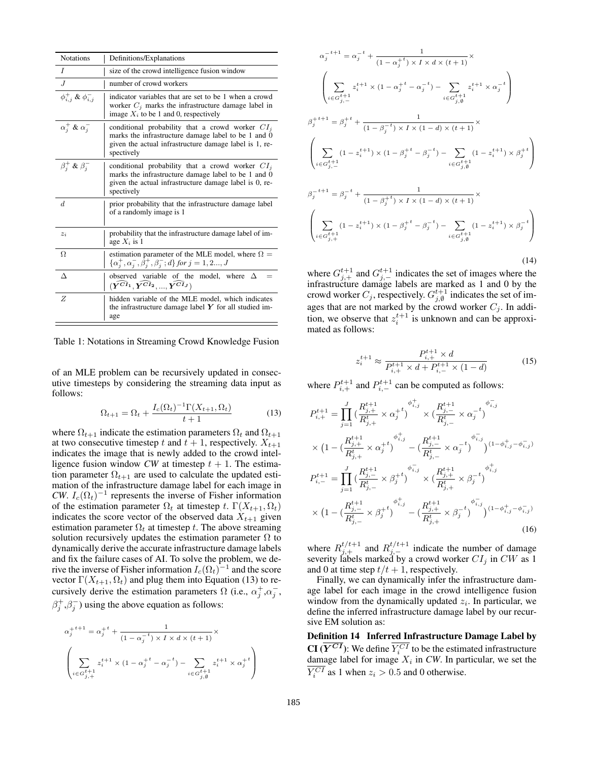| <b>Notations</b>               | Definitions/Explanations                                                                                                                                                         |
|--------------------------------|----------------------------------------------------------------------------------------------------------------------------------------------------------------------------------|
| I                              | size of the crowd intelligence fusion window                                                                                                                                     |
| J                              | number of crowd workers                                                                                                                                                          |
| $\phi_{i,j}^+ \& \phi_{i,j}^-$ | indicator variables that are set to be 1 when a crowd<br>worker $C_i$ marks the infrastructure damage label in<br>image $X_i$ to be 1 and 0, respectively                        |
| $\alpha_i^+ \& \alpha_i^-$     | conditional probability that a crowd worker $CIi$<br>marks the infrastructure damage label to be 1 and 0<br>given the actual infrastructure damage label is 1, re-<br>spectively |
| $\beta_i^+ \& \beta_i^-$       | conditional probability that a crowd worker $CIi$<br>marks the infrastructure damage label to be 1 and 0<br>given the actual infrastructure damage label is 0, re-<br>spectively |
| d.                             | prior probability that the infrastructure damage label<br>of a randomly image is 1                                                                                               |
| $z_i$                          | probability that the infrastructure damage label of im-<br>age $X_i$ is 1                                                                                                        |
| Ω                              | estimation parameter of the MLE model, where $\Omega =$<br>$\{\alpha_j^+, \alpha_j^-, \beta_j^+, \beta_j^-, d\}$ for $j = 1, 2, J$                                               |
| $\wedge$                       | observed variable of the model, where $\Delta$<br>$(\widehat{Y^{CI_1}}, \widehat{Y^{CI_2}},,\widehat{Y^{CI_J}})$                                                                 |
| Z                              | hidden variable of the MLE model, which indicates<br>the infrastructure damage label $Y$ for all studied im-<br>age                                                              |

Table 1: Notations in Streaming Crowd Knowledge Fusion

of an MLE problem can be recursively updated in consecutive timesteps by considering the streaming data input as follows:

$$
\Omega_{t+1} = \Omega_t + \frac{I_c(\Omega_t)^{-1} \Gamma(X_{t+1}, \Omega_t)}{t+1}
$$
 (13)

where  $\Omega_{t+1}$  indicate the estimation parameters  $\Omega_t$  and  $\Omega_{t+1}$ at two consecutive timestep t and  $t + 1$ , respectively.  $X_{t+1}$ indicates the image that is newly added to the crowd intelligence fusion window *CW* at timestep  $t + 1$ . The estimation parameter  $\Omega_{t+1}$  are used to calculate the updated estimation of the infrastructure damage label for each image in *CW*.  $I_c(\Omega_t)^{-1}$  represents the inverse of Fisher information of the estimation parameter  $\Omega_t$  at timestep t.  $\Gamma(X_{t+1}, \Omega_t)$ indicates the score vector of the observed data  $X_{t+1}$  given estimation parameter  $\Omega_t$  at timestep t. The above streaming solution recursively updates the estimation parameter  $\Omega$  to dynamically derive the accurate infrastructure damage labels and fix the failure cases of AI. To solve the problem, we derive the inverse of Fisher information  $I_c(\Omega_t)^{-1}$  and the score vector  $\Gamma(X_{t+1}, \Omega_t)$  and plug them into Equation (13) to recursively derive the estimation parameters  $\Omega$  (i.e.,  $\alpha_j^+,\alpha_j^-$ ,  $\beta_j^+$ , $\beta_j^-$ ) using the above equation as follows:

$$
\begin{split} \alpha_j^{+ \, t+1 } & = \alpha_j^{+ \, t} + \frac{1}{(1 - \alpha_j^{- \, t}) \times I \times d \times (t+1)} \times \\ & \left( \sum_{i \in G^{t+1}_{j,+}} z_i^{t+1} \times (1 - \alpha_j^{+ \, t} - \alpha_j^{- \, t}) - \sum_{i \in G^{t+1}_{j,\emptyset}} z_i^{t+1} \times \alpha_j^{+ \, t} \right) \end{split}
$$

$$
\alpha_{j}^{-t+1} = \alpha_{j}^{-t} + \frac{1}{(1 - \alpha_{j}^{+t}) \times I \times d \times (t+1)} \times
$$
\n
$$
\left(\sum_{i \in G_{j, -1}^{t+1}} z_{i}^{t+1} \times (1 - \alpha_{j}^{+t} - \alpha_{j}^{-t}) - \sum_{i \in G_{j, \emptyset}^{t+1}} z_{i}^{t+1} \times \alpha_{j}^{-t}\right)
$$
\n
$$
\beta_{j}^{+t+1} = \beta_{j}^{+t} + \frac{1}{(1 - \beta_{j}^{-t}) \times I \times (1 - d) \times (t+1)} \times
$$
\n
$$
\left(\sum_{i \in G_{j, -1}^{t+1}} (1 - z_{i}^{t+1}) \times (1 - \beta_{j}^{+t} - \beta_{j}^{-t}) - \sum_{i \in G_{j, \emptyset}^{t+1}} (1 - z_{i}^{t+1}) \times \beta_{j}^{+t}\right)
$$
\n
$$
\beta_{j}^{-t+1} = \beta_{j}^{-t} + \frac{1}{(1 - \beta_{j}^{+t}) \times I \times (1 - d) \times (t+1)} \times
$$
\n
$$
\left(\sum_{i \in G_{j, +1}^{t+1}} (1 - z_{i}^{t+1}) \times (1 - \beta_{j}^{+t} - \beta_{j}^{-t}) - \sum_{i \in G_{j, \emptyset}^{t+1}} (1 - z_{i}^{t+1}) \times \beta_{j}^{-t}\right)
$$
\n(14)

where  $G_{j,+}^{t+1}$  and  $G_{j,-}^{t+1}$  indicates the set of images where the infrastructure damage labels are marked as 1 and 0 by the crowd worker  $C_j$ , respectively.  $G_{j,\emptyset}^{t+1}$  indicates the set of images that are not marked by the crowd worker  $C_j$ . In addition, we observe that  $z_i^{t+1}$  is unknown and can be approximated as follows:

$$
z_i^{t+1} \approx \frac{P_{i,+}^{t+1} \times d}{P_{i,+}^{t+1} \times d + P_{i,-}^{t+1} \times (1 - d)}
$$
(15)

where  $P_{i,+}^{t+1}$  and  $P_{i,-}^{t+1}$  can be computed as follows:

$$
P_{i,+}^{t+1} = \prod_{j=1}^{J} \left( \frac{R_{j,+}^{t+1}}{R_{j,+}^{t}} \times \alpha_{j}^{+t} \right)^{\phi_{i,j}^{+}} \times \left( \frac{R_{j,-}^{t+1}}{R_{j,-}^{t}} \times \alpha_{j}^{-t} \right)^{\phi_{i,j}^{-}} \times \left( 1 - \left( \frac{R_{j,+}^{t+1}}{R_{j,+}^{t}} \times \alpha_{j}^{+t} \right)^{\phi_{i,j}^{+}} - \left( \frac{R_{j,-}^{t+1}}{R_{j,-}^{t}} \times \alpha_{j}^{-t} \right)^{\phi_{i,j}^{-}} \right)^{(1-\phi_{i,j}^{+}-\phi_{i,j}^{-})} \n P_{i,-}^{t+1} = \prod_{j=1}^{J} \left( \frac{R_{j,-}^{t+1}}{R_{j,-}^{t}} \times \beta_{j}^{+t} \right)^{\phi_{i,j}^{-}} \times \left( \frac{R_{j,+}^{t+1}}{R_{j,+}^{t}} \times \beta_{j}^{-t} \right)^{\phi_{i,j}^{+}} \times \left( 1 - \left( \frac{R_{j,-}^{t+1}}{R_{j,-}^{t}} \times \beta_{j}^{+t} \right)^{\phi_{i,j}^{+}} - \left( \frac{R_{j,+}^{t+1}}{R_{j,+}^{t}} \times \beta_{j}^{-t} \right)^{\phi_{i,j}^{-}} \right)^{(1-\phi_{i,j}^{+}-\phi_{i,j}^{-})} (16)
$$

where  $R_{j,+}^{t/t+1}$  and  $R_{j,-}^{t/t+1}$  indicate the number of damage severity labels marked by a crowd worker  $CI<sub>j</sub>$  in CW as 1 and 0 at time step  $t/t + 1$ , respectively.

Finally, we can dynamically infer the infrastructure damage label for each image in the crowd intelligence fusion window from the dynamically updated  $z_i$ . In particular, we define the inferred infrastructure damage label by our recursive EM solution as:

Definition 14 Inferred Infrastructure Damage Label by **CI** ( $Y^{CI}$ ): We define  $Y_i^{CI}$  to be the estimated infrastructure damage label for image  $X_i$  in *CW*. In particular, we set the  $Y_i^{CI}$  as 1 when  $z_i > 0.5$  and 0 otherwise.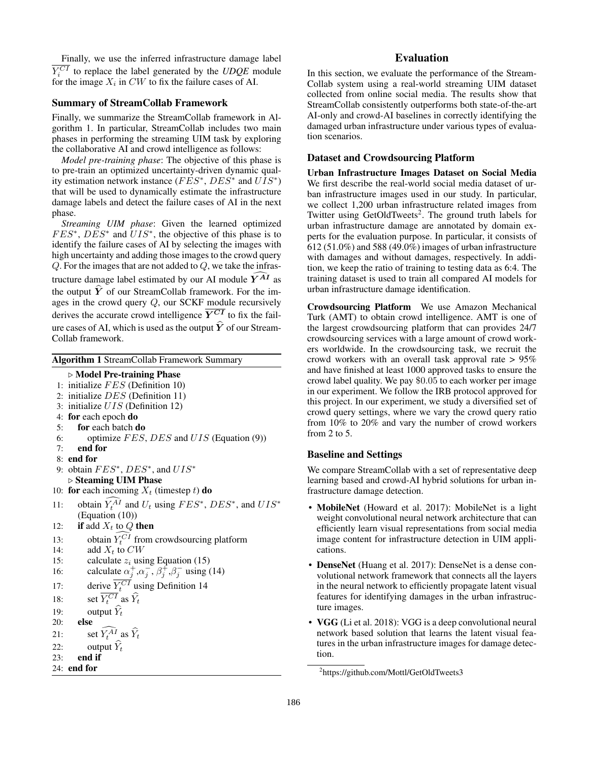Finally, we use the inferred infrastructure damage label  $Y_i^{CI}$  to replace the label generated by the *UDQE* module for the image  $X_i$  in  $CW$  to fix the failure cases of AI.

#### Summary of StreamCollab Framework

Finally, we summarize the StreamCollab framework in Algorithm 1. In particular, StreamCollab includes two main phases in performing the streaming UIM task by exploring the collaborative AI and crowd intelligence as follows:

*Model pre-training phase*: The objective of this phase is to pre-train an optimized uncertainty-driven dynamic quality estimation network instance ( $\overline{F}\overline{E}S^*$ ,  $\overline{DES}^*$  and  $\overline{U}\overline{I}S^*$ ) that will be used to dynamically estimate the infrastructure damage labels and detect the failure cases of AI in the next phase.

*Streaming UIM phase*: Given the learned optimized  $FES^*$ ,  $DES^*$  and  $UIS^*$ , the objective of this phase is to identify the failure cases of AI by selecting the images with high uncertainty and adding those images to the crowd query  $Q$ . For the images that are not added to  $Q$ , we take the infrastructure damage label estimated by our AI module  $\overline{Y^{AI}}$  as the output  $\hat{Y}$  of our StreamCollab framework. For the images in the crowd query Q, our SCKF module recursively derives the accurate crowd intelligence  $Y^{CI}$  to fix the failure cases of AI, which is used as the output  $\hat{Y}$  of our Stream-Collab framework.

Algorithm 1 StreamCollab Framework Summary

#### $\triangleright$  Model Pre-training Phase

1: initialize  $FES$  (Definition 10) 2: initialize  $DES$  (Definition 11) 3: initialize UIS (Definition 12) 4: for each epoch do 5: for each batch do 6: optimize  $FES$ ,  $DES$  and  $UIS$  (Equation (9)) 7: end for 8: end for 9: obtain  $FES^*$ ,  $DES^*$ , and  $UIS^*$  $\triangleright$  Steaming UIM Phase 10: for each incoming  $X_t$  (timestep t) do 11: obtain  $Y_t^{AI}$  and  $U_t$  using  $FES^*$ ,  $DES^*$ , and  $UIS^*$ (Equation (10)) 12: **if** add  $X_t$  to Q **then** 13: obtain  $Y_t^{CI}$  from crowdsourcing platform 14: add  $X_t$  to  $CW$ 15: calculate  $z_i$  using Equation (15) 16: calculate  $\alpha_j^+$ , $\alpha_j^-$ ,  $\beta_j^+$ , $\beta_j^-$  using (14) 17: derive  $Y_t^{CI}$  using Definition 14 18: set  $Y_t^{CI}$  as  $\hat{Y}_t$ 19: output  $\widehat{Y}_t$ <br>20: **else** else 21: set  $Y_t^{AI}$  as  $\hat{Y}_t$ 22: output  $\widehat{Y}_t$ <br>23: **end if** end if 24: end for

# Evaluation

In this section, we evaluate the performance of the Stream-Collab system using a real-world streaming UIM dataset collected from online social media. The results show that StreamCollab consistently outperforms both state-of-the-art AI-only and crowd-AI baselines in correctly identifying the damaged urban infrastructure under various types of evaluation scenarios.

## Dataset and Crowdsourcing Platform

Urban Infrastructure Images Dataset on Social Media We first describe the real-world social media dataset of urban infrastructure images used in our study. In particular, we collect 1,200 urban infrastructure related images from Twitter using GetOldTweets<sup>2</sup>. The ground truth labels for urban infrastructure damage are annotated by domain experts for the evaluation purpose. In particular, it consists of 612 (51.0%) and 588 (49.0%) images of urban infrastructure with damages and without damages, respectively. In addition, we keep the ratio of training to testing data as 6:4. The training dataset is used to train all compared AI models for urban infrastructure damage identification.

Crowdsourcing Platform We use Amazon Mechanical Turk (AMT) to obtain crowd intelligence. AMT is one of the largest crowdsourcing platform that can provides 24/7 crowdsourcing services with a large amount of crowd workers worldwide. In the crowdsourcing task, we recruit the crowd workers with an overall task approval rate > 95% and have finished at least 1000 approved tasks to ensure the crowd label quality. We pay \$0.05 to each worker per image in our experiment. We follow the IRB protocol approved for this project. In our experiment, we study a diversified set of crowd query settings, where we vary the crowd query ratio from 10% to 20% and vary the number of crowd workers from 2 to 5.

### Baseline and Settings

We compare StreamCollab with a set of representative deep learning based and crowd-AI hybrid solutions for urban infrastructure damage detection.

- MobileNet (Howard et al. 2017): MobileNet is a light weight convolutional neural network architecture that can efficiently learn visual representations from social media image content for infrastructure detection in UIM applications.
- DenseNet (Huang et al. 2017): DenseNet is a dense convolutional network framework that connects all the layers in the neural network to efficiently propagate latent visual features for identifying damages in the urban infrastructure images.
- **VGG** (Li et al. 2018): VGG is a deep convolutional neural network based solution that learns the latent visual features in the urban infrastructure images for damage detection.

<sup>&</sup>lt;sup>2</sup>https://github.com/Mottl/GetOldTweets3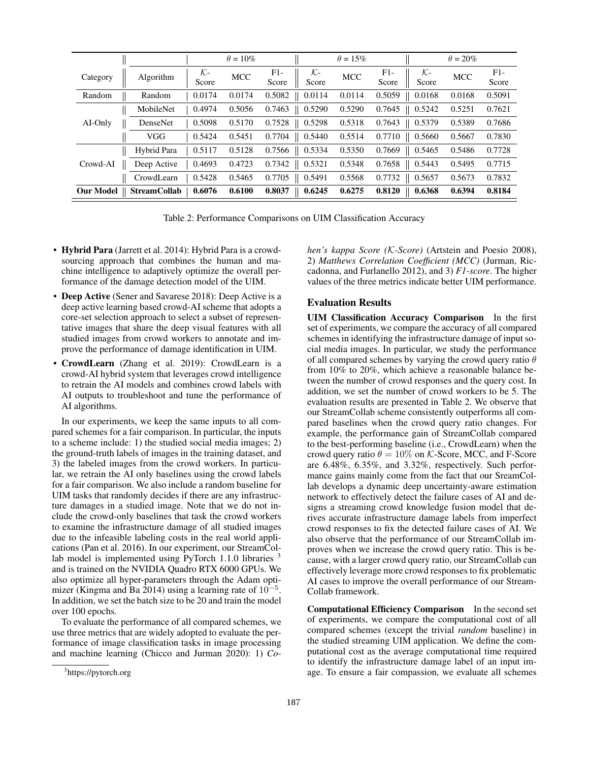|                  |                     |                          | $\theta = 10\%$ |                |                          | $\theta = 15\%$ |                |                          | $\theta = 20\%$ |                |
|------------------|---------------------|--------------------------|-----------------|----------------|--------------------------|-----------------|----------------|--------------------------|-----------------|----------------|
| Category         | Algorithm           | $\mathcal{K}$ -<br>Score | <b>MCC</b>      | $F1-$<br>Score | $\mathcal{K}$ -<br>Score | <b>MCC</b>      | $F1-$<br>Score | $\mathcal{K}$ -<br>Score | <b>MCC</b>      | $F1-$<br>Score |
| Random           | Random              | 0.0174                   | 0.0174          | 0.5082         | 0.0114                   | 0.0114          | 0.5059         | 0.0168                   | 0.0168          | 0.5091         |
|                  | MobileNet           | 0.4974                   | 0.5056          | 0.7463         | 0.5290                   | 0.5290          | 0.7645         | $\parallel$ 0.5242       | 0.5251          | 0.7621         |
| AI-Only          | DenseNet            | 0.5098                   | 0.5170          | 0.7528         | 0.5298                   | 0.5318          | 0.7643         | 0.5379                   | 0.5389          | 0.7686         |
|                  | VGG                 | 0.5424                   | 0.5451          | 0.7704         | 0.5440                   | 0.5514          | 0.7710         | 0.5660                   | 0.5667          | 0.7830         |
|                  | Hybrid Para         | 0.5117                   | 0.5128          | 0.7566         | 0.5334                   | 0.5350          | 0.7669         | 0.5465                   | 0.5486          | 0.7728         |
| Crowd-AI         | Deep Active         | 0.4693                   | 0.4723          | 0.7342         | 0.5321                   | 0.5348          | 0.7658         | 0.5443                   | 0.5495          | 0.7715         |
|                  | CrowdLearn          | 0.5428                   | 0.5465          | 0.7705         | 0.5491                   | 0.5568          | 0.7732         | 0.5657                   | 0.5673          | 0.7832         |
| <b>Our Model</b> | <b>StreamCollab</b> | 0.6076                   | 0.6100          | 0.8037         | 0.6245                   | 0.6275          | 0.8120         | 0.6368                   | 0.6394          | 0.8184         |

Table 2: Performance Comparisons on UIM Classification Accuracy

- Hybrid Para (Jarrett et al. 2014): Hybrid Para is a crowdsourcing approach that combines the human and machine intelligence to adaptively optimize the overall performance of the damage detection model of the UIM.
- Deep Active (Sener and Savarese 2018): Deep Active is a deep active learning based crowd-AI scheme that adopts a core-set selection approach to select a subset of representative images that share the deep visual features with all studied images from crowd workers to annotate and improve the performance of damage identification in UIM.
- CrowdLearn (Zhang et al. 2019): CrowdLearn is a crowd-AI hybrid system that leverages crowd intelligence to retrain the AI models and combines crowd labels with AI outputs to troubleshoot and tune the performance of AI algorithms.

In our experiments, we keep the same inputs to all compared schemes for a fair comparison. In particular, the inputs to a scheme include: 1) the studied social media images; 2) the ground-truth labels of images in the training dataset, and 3) the labeled images from the crowd workers. In particular, we retrain the AI only baselines using the crowd labels for a fair comparison. We also include a random baseline for UIM tasks that randomly decides if there are any infrastructure damages in a studied image. Note that we do not include the crowd-only baselines that task the crowd workers to examine the infrastructure damage of all studied images due to the infeasible labeling costs in the real world applications (Pan et al. 2016). In our experiment, our StreamCollab model is implemented using PyTorch  $1.1.0$  libraries  $3$ and is trained on the NVIDIA Quadro RTX 6000 GPUs. We also optimize all hyper-parameters through the Adam optimizer (Kingma and Ba 2014) using a learning rate of  $10^{-5}$ . In addition, we set the batch size to be 20 and train the model over 100 epochs.

To evaluate the performance of all compared schemes, we use three metrics that are widely adopted to evaluate the performance of image classification tasks in image processing and machine learning (Chicco and Jurman 2020): 1) *Co-* *hen's kappa Score (*K*-Score)* (Artstein and Poesio 2008), 2) *Matthews Correlation Coefficient (MCC)* (Jurman, Riccadonna, and Furlanello 2012), and 3) *F1-score*. The higher values of the three metrics indicate better UIM performance.

### Evaluation Results

UIM Classification Accuracy Comparison In the first set of experiments, we compare the accuracy of all compared schemes in identifying the infrastructure damage of input social media images. In particular, we study the performance of all compared schemes by varying the crowd query ratio  $\theta$ from 10% to 20%, which achieve a reasonable balance between the number of crowd responses and the query cost. In addition, we set the number of crowd workers to be 5. The evaluation results are presented in Table 2. We observe that our StreamCollab scheme consistently outperforms all compared baselines when the crowd query ratio changes. For example, the performance gain of StreamCollab compared to the best-performing baseline (i.e., CrowdLearn) when the crowd query ratio  $\theta = 10\%$  on *K*-Score, MCC, and F-Score are 6.48%, 6.35%, and 3.32%, respectively. Such performance gains mainly come from the fact that our SreamCollab develops a dynamic deep uncertainty-aware estimation network to effectively detect the failure cases of AI and designs a streaming crowd knowledge fusion model that derives accurate infrastructure damage labels from imperfect crowd responses to fix the detected failure cases of AI. We also observe that the performance of our StreamCollab improves when we increase the crowd query ratio. This is because, with a larger crowd query ratio, our StreamCollab can effectively leverage more crowd responses to fix problematic AI cases to improve the overall performance of our Stream-Collab framework.

Computational Efficiency Comparison In the second set of experiments, we compare the computational cost of all compared schemes (except the trivial *random* baseline) in the studied streaming UIM application. We define the computational cost as the average computational time required to identify the infrastructure damage label of an input image. To ensure a fair compassion, we evaluate all schemes

<sup>3</sup> https://pytorch.org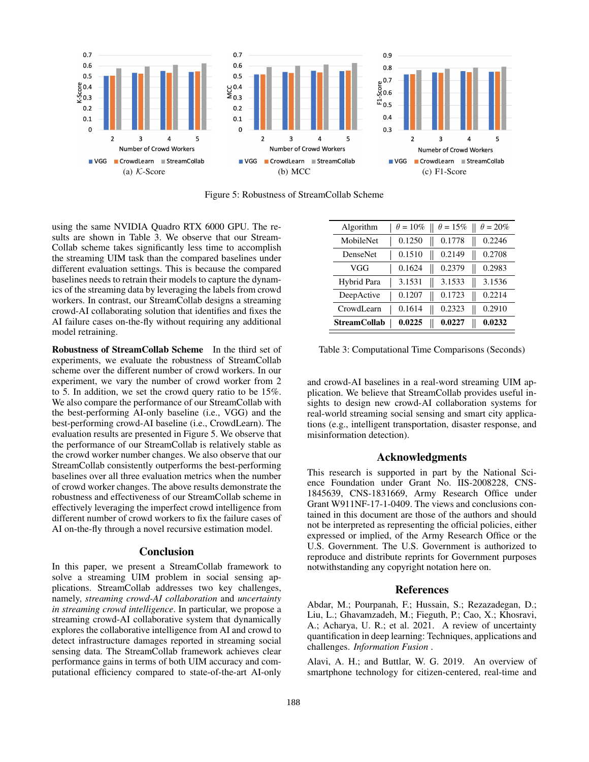

Figure 5: Robustness of StreamCollab Scheme

using the same NVIDIA Quadro RTX 6000 GPU. The results are shown in Table 3. We observe that our Stream-Collab scheme takes significantly less time to accomplish the streaming UIM task than the compared baselines under different evaluation settings. This is because the compared baselines needs to retrain their models to capture the dynamics of the streaming data by leveraging the labels from crowd workers. In contrast, our StreamCollab designs a streaming crowd-AI collaborating solution that identifies and fixes the AI failure cases on-the-fly without requiring any additional model retraining.

Robustness of StreamCollab Scheme In the third set of experiments, we evaluate the robustness of StreamCollab scheme over the different number of crowd workers. In our experiment, we vary the number of crowd worker from 2 to 5. In addition, we set the crowd query ratio to be 15%. We also compare the performance of our StreamCollab with the best-performing AI-only baseline (i.e., VGG) and the best-performing crowd-AI baseline (i.e., CrowdLearn). The evaluation results are presented in Figure 5. We observe that the performance of our StreamCollab is relatively stable as the crowd worker number changes. We also observe that our StreamCollab consistently outperforms the best-performing baselines over all three evaluation metrics when the number of crowd worker changes. The above results demonstrate the robustness and effectiveness of our StreamCollab scheme in effectively leveraging the imperfect crowd intelligence from different number of crowd workers to fix the failure cases of AI on-the-fly through a novel recursive estimation model.

#### Conclusion

In this paper, we present a StreamCollab framework to solve a streaming UIM problem in social sensing applications. StreamCollab addresses two key challenges, namely, *streaming crowd-AI collaboration* and *uncertainty in streaming crowd intelligence*. In particular, we propose a streaming crowd-AI collaborative system that dynamically explores the collaborative intelligence from AI and crowd to detect infrastructure damages reported in streaming social sensing data. The StreamCollab framework achieves clear performance gains in terms of both UIM accuracy and computational efficiency compared to state-of-the-art AI-only

| Algorithm           | $\theta = 10\%$ | $\theta = 15\%$ | $\theta = 20\%$ |
|---------------------|-----------------|-----------------|-----------------|
| MobileNet           | 0.1250          | 0.1778          | 0.2246          |
| DenseNet            | 0.1510          | 0.2149          | 0.2708          |
| VGG                 | 0.1624          | 0.2379          | 0.2983          |
| Hybrid Para         | 3.1531          | 3.1533          | 3.1536          |
| DeepActive          | 0.1207          | 0.1723          | 0.2214          |
| CrowdLearn          | 0.1614          | 0.2323          | 0.2910          |
| <b>StreamCollab</b> | 0.0225          | 0.0227          | 0.0232          |

Table 3: Computational Time Comparisons (Seconds)

and crowd-AI baselines in a real-word streaming UIM application. We believe that StreamCollab provides useful insights to design new crowd-AI collaboration systems for real-world streaming social sensing and smart city applications (e.g., intelligent transportation, disaster response, and misinformation detection).

#### Acknowledgments

This research is supported in part by the National Science Foundation under Grant No. IIS-2008228, CNS-1845639, CNS-1831669, Army Research Office under Grant W911NF-17-1-0409. The views and conclusions contained in this document are those of the authors and should not be interpreted as representing the official policies, either expressed or implied, of the Army Research Office or the U.S. Government. The U.S. Government is authorized to reproduce and distribute reprints for Government purposes notwithstanding any copyright notation here on.

#### References

Abdar, M.; Pourpanah, F.; Hussain, S.; Rezazadegan, D.; Liu, L.; Ghavamzadeh, M.; Fieguth, P.; Cao, X.; Khosravi, A.; Acharya, U. R.; et al. 2021. A review of uncertainty quantification in deep learning: Techniques, applications and challenges. *Information Fusion* .

Alavi, A. H.; and Buttlar, W. G. 2019. An overview of smartphone technology for citizen-centered, real-time and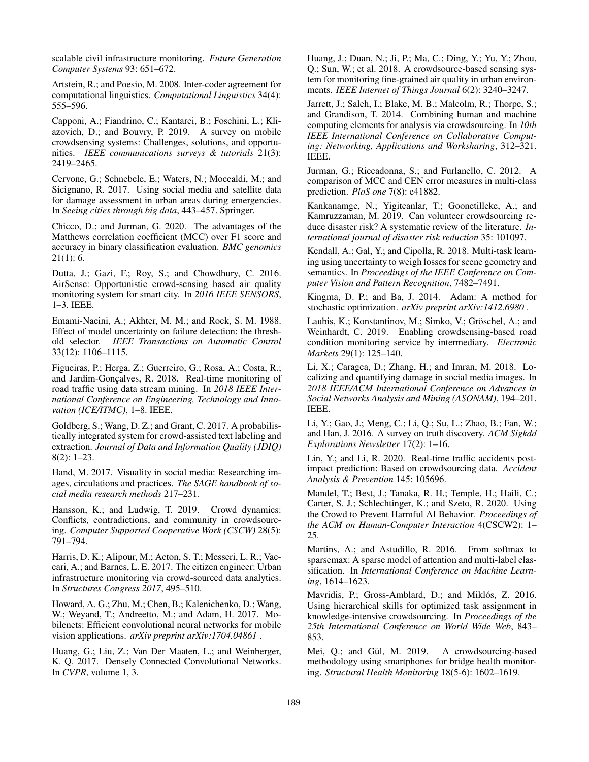scalable civil infrastructure monitoring. *Future Generation Computer Systems* 93: 651–672.

Artstein, R.; and Poesio, M. 2008. Inter-coder agreement for computational linguistics. *Computational Linguistics* 34(4): 555–596.

Capponi, A.; Fiandrino, C.; Kantarci, B.; Foschini, L.; Kliazovich, D.; and Bouvry, P. 2019. A survey on mobile crowdsensing systems: Challenges, solutions, and opportunities. *IEEE communications surveys & tutorials* 21(3): 2419–2465.

Cervone, G.; Schnebele, E.; Waters, N.; Moccaldi, M.; and Sicignano, R. 2017. Using social media and satellite data for damage assessment in urban areas during emergencies. In *Seeing cities through big data*, 443–457. Springer.

Chicco, D.; and Jurman, G. 2020. The advantages of the Matthews correlation coefficient (MCC) over F1 score and accuracy in binary classification evaluation. *BMC genomics*  $21(1): 6.$ 

Dutta, J.; Gazi, F.; Roy, S.; and Chowdhury, C. 2016. AirSense: Opportunistic crowd-sensing based air quality monitoring system for smart city. In *2016 IEEE SENSORS*, 1–3. IEEE.

Emami-Naeini, A.; Akhter, M. M.; and Rock, S. M. 1988. Effect of model uncertainty on failure detection: the threshold selector. *IEEE Transactions on Automatic Control* 33(12): 1106–1115.

Figueiras, P.; Herga, Z.; Guerreiro, G.; Rosa, A.; Costa, R.; and Jardim-Gonçalves, R. 2018. Real-time monitoring of road traffic using data stream mining. In *2018 IEEE International Conference on Engineering, Technology and Innovation (ICE/ITMC)*, 1–8. IEEE.

Goldberg, S.; Wang, D. Z.; and Grant, C. 2017. A probabilistically integrated system for crowd-assisted text labeling and extraction. *Journal of Data and Information Quality (JDIQ)* 8(2): 1–23.

Hand, M. 2017. Visuality in social media: Researching images, circulations and practices. *The SAGE handbook of social media research methods* 217–231.

Hansson, K.; and Ludwig, T. 2019. Crowd dynamics: Conflicts, contradictions, and community in crowdsourcing. *Computer Supported Cooperative Work (CSCW)* 28(5): 791–794.

Harris, D. K.; Alipour, M.; Acton, S. T.; Messeri, L. R.; Vaccari, A.; and Barnes, L. E. 2017. The citizen engineer: Urban infrastructure monitoring via crowd-sourced data analytics. In *Structures Congress 2017*, 495–510.

Howard, A. G.; Zhu, M.; Chen, B.; Kalenichenko, D.; Wang, W.; Weyand, T.; Andreetto, M.; and Adam, H. 2017. Mobilenets: Efficient convolutional neural networks for mobile vision applications. *arXiv preprint arXiv:1704.04861* .

Huang, G.; Liu, Z.; Van Der Maaten, L.; and Weinberger, K. Q. 2017. Densely Connected Convolutional Networks. In *CVPR*, volume 1, 3.

Huang, J.; Duan, N.; Ji, P.; Ma, C.; Ding, Y.; Yu, Y.; Zhou, Q.; Sun, W.; et al. 2018. A crowdsource-based sensing system for monitoring fine-grained air quality in urban environments. *IEEE Internet of Things Journal* 6(2): 3240–3247.

Jarrett, J.; Saleh, I.; Blake, M. B.; Malcolm, R.; Thorpe, S.; and Grandison, T. 2014. Combining human and machine computing elements for analysis via crowdsourcing. In *10th IEEE International Conference on Collaborative Computing: Networking, Applications and Worksharing*, 312–321. IEEE.

Jurman, G.; Riccadonna, S.; and Furlanello, C. 2012. A comparison of MCC and CEN error measures in multi-class prediction. *PloS one* 7(8): e41882.

Kankanamge, N.; Yigitcanlar, T.; Goonetilleke, A.; and Kamruzzaman, M. 2019. Can volunteer crowdsourcing reduce disaster risk? A systematic review of the literature. *International journal of disaster risk reduction* 35: 101097.

Kendall, A.; Gal, Y.; and Cipolla, R. 2018. Multi-task learning using uncertainty to weigh losses for scene geometry and semantics. In *Proceedings of the IEEE Conference on Computer Vision and Pattern Recognition*, 7482–7491.

Kingma, D. P.; and Ba, J. 2014. Adam: A method for stochastic optimization. *arXiv preprint arXiv:1412.6980* .

Laubis, K.; Konstantinov, M.; Simko, V.; Gröschel, A.; and Weinhardt, C. 2019. Enabling crowdsensing-based road condition monitoring service by intermediary. *Electronic Markets* 29(1): 125–140.

Li, X.; Caragea, D.; Zhang, H.; and Imran, M. 2018. Localizing and quantifying damage in social media images. In *2018 IEEE/ACM International Conference on Advances in Social Networks Analysis and Mining (ASONAM)*, 194–201. IEEE.

Li, Y.; Gao, J.; Meng, C.; Li, Q.; Su, L.; Zhao, B.; Fan, W.; and Han, J. 2016. A survey on truth discovery. *ACM Sigkdd Explorations Newsletter* 17(2): 1–16.

Lin, Y.; and Li, R. 2020. Real-time traffic accidents postimpact prediction: Based on crowdsourcing data. *Accident Analysis & Prevention* 145: 105696.

Mandel, T.; Best, J.; Tanaka, R. H.; Temple, H.; Haili, C.; Carter, S. J.; Schlechtinger, K.; and Szeto, R. 2020. Using the Crowd to Prevent Harmful AI Behavior. *Proceedings of the ACM on Human-Computer Interaction* 4(CSCW2): 1– 25.

Martins, A.; and Astudillo, R. 2016. From softmax to sparsemax: A sparse model of attention and multi-label classification. In *International Conference on Machine Learning*, 1614–1623.

Mavridis, P.; Gross-Amblard, D.; and Miklós, Z. 2016. Using hierarchical skills for optimized task assignment in knowledge-intensive crowdsourcing. In *Proceedings of the 25th International Conference on World Wide Web*, 843– 853.

Mei, Q.; and Gül, M. 2019. A crowdsourcing-based methodology using smartphones for bridge health monitoring. *Structural Health Monitoring* 18(5-6): 1602–1619.